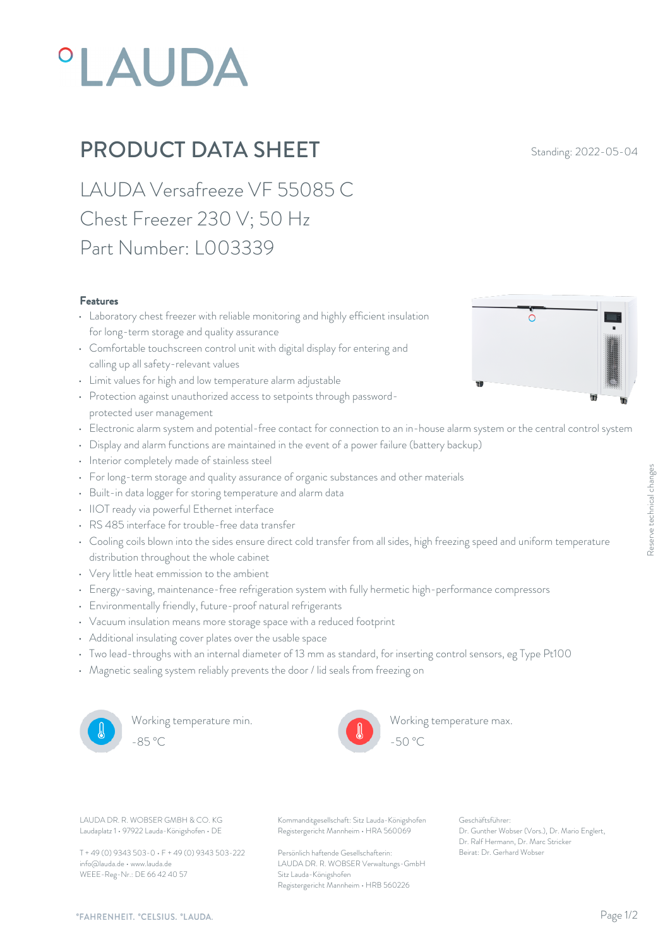# **°LAUDA**

## **PRODUCT DATA SHEET** Standing: 2022-05-04

LAUDA Versafreeze VF 55085 C Chest Freezer 230 V; 50 Hz Part Number: L003339

#### Features

- Laboratory chest freezer with reliable monitoring and highly efficient insulation  $\circ$ for long-term storage and quality assurance
- Comfortable touchscreen control unit with digital display for entering and calling up all safety-relevant values
- Limit values for high and low temperature alarm adjustable
- Protection against unauthorized access to setpoints through passwordprotected user management
- Electronic alarm system and potential-free contact for connection to an in-house alarm system or the central control system
- Display and alarm functions are maintained in the event of a power failure (battery backup)
- Interior completely made of stainless steel
- For long-term storage and quality assurance of organic substances and other materials
- Built-in data logger for storing temperature and alarm data
- IIOT ready via powerful Ethernet interface
- RS 485 interface for trouble-free data transfer
- For long-term storage and quality assurance of organic substances and other materials<br>
 Built-in data logger for storing temperature and alarm data<br>
 IIOT ready via powerful Ethernet interface<br>
 RS 485 interface for t distribution throughout the whole cabinet
- Very little heat emmission to the ambient
- Energy-saving, maintenance-free refrigeration system with fully hermetic high-performance compressors
- Environmentally friendly, future-proof natural refrigerants
- Vacuum insulation means more storage space with a reduced footprint
- Additional insulating cover plates over the usable space
- Two lead-throughs with an internal diameter of 13 mm as standard, for inserting control sensors, eg Type Pt100
- Magnetic sealing system reliably prevents the door / lid seals from freezing on



Working temperature min. -85 °C - 50 °C



Working temperature max.

Laudaplatz 1 • 97922 Lauda-Königshofen • DE

T + 49 (0) 9343 503-0 • F + 49 (0) 9343 503-222 info@lauda.de • www.lauda.de WEEE-Reg-Nr.: DE 66 42 40 57

LAUDA DR. R. WOBSER GMBH & CO. KG Kommanditgesellschaft: Sitz Lauda-Königshofen Geschäftsführer: Registergericht Mannheim • HRA 560069

> Persönlich haftende Gesellschafterin: Beirat: Dr. Gerhard Wobse LAUDA DR. R. WOBSER Verwaltungs-GmbH Sitz Lauda-Königshofen Registergericht Mannheim • HRB 560226

Geschäftsführer: Dr. Gunther Wobser (Vors.), Dr. Mario Englert, Dr. Ralf Hermann, Dr. Marc Stricker Being speed and uniform temperature<br>
The server of the server of the server of the server of the server<br>
Server Constants, eg Type Pt100<br>
For Server Reserved Server (Vors.), Dr. Mario Englert,<br>
Dr. Genther Wobser (Vors.),